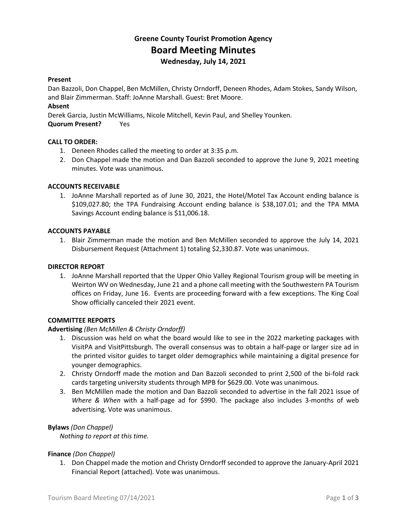# **Greene County Tourist Promotion Agency Board Meeting Minutes Wednesday, July 14, 2021**

## **Present**

Dan Bazzoli, Don Chappel, Ben McMillen, Christy Orndorff, Deneen Rhodes, Adam Stokes, Sandy Wilson, and Blair Zimmerman. Staff: JoAnne Marshall. Guest: Bret Moore.

## **Absent**

Derek Garcia, Justin McWilliams, Nicole Mitchell, Kevin Paul, and Shelley Younken.

**Quorum Present?** Yes

## **CALL TO ORDER:**

- 1. Deneen Rhodes called the meeting to order at 3:35 p.m.
- 2. Don Chappel made the motion and Dan Bazzoli seconded to approve the June 9, 2021 meeting minutes. Vote was unanimous.

## **ACCOUNTS RECEIVABLE**

1. JoAnne Marshall reported as of June 30, 2021, the Hotel/Motel Tax Account ending balance is \$109,027.80; the TPA Fundraising Account ending balance is \$38,107.01; and the TPA MMA Savings Account ending balance is \$11,006.18.

#### **ACCOUNTS PAYABLE**

1. Blair Zimmerman made the motion and Ben McMillen seconded to approve the July 14, 2021 Disbursement Request (Attachment 1) totaling \$2,330.87. Vote was unanimous.

#### **DIRECTOR REPORT**

1. JoAnne Marshall reported that the Upper Ohio Valley Regional Tourism group will be meeting in Weirton WV on Wednesday, June 21 and a phone call meeting with the Southwestern PA Tourism offices on Friday, June 16. Events are proceeding forward with a few exceptions. The King Coal Show officially canceled their 2021 event.

#### **COMMITTEE REPORTS**

#### **Advertising** *(Ben McMillen & Christy Orndorff)*

- 1. Discussion was held on what the board would like to see in the 2022 marketing packages with VisitPA and VisitPittsburgh. The overall consensus was to obtain a half-page or larger size ad in the printed visitor guides to target older demographics while maintaining a digital presence for younger demographics.
- 2. Christy Orndorff made the motion and Dan Bazzoli seconded to print 2,500 of the bi-fold rack cards targeting university students through MPB for \$629.00. Vote was unanimous.
- 3. Ben McMillen made the motion and Dan Bazzoli seconded to advertise in the fall 2021 issue of *Where & When* with a half-page ad for \$990. The package also includes 3-months of web advertising. Vote was unanimous.

#### **Bylaws** *(Don Chappel)*

*Nothing to report at this time.*

#### **Finance** *(Don Chappel)*

1. Don Chappel made the motion and Christy Orndorff seconded to approve the January-April 2021 Financial Report (attached). Vote was unanimous.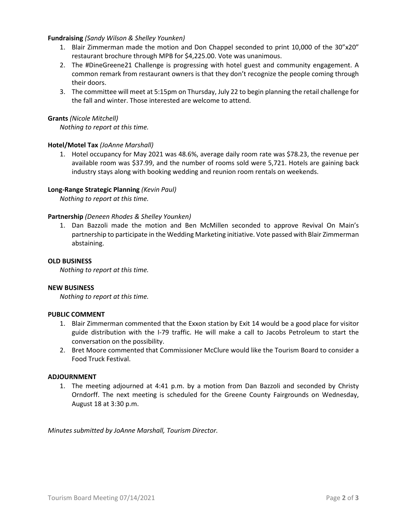## **Fundraising** *(Sandy Wilson & Shelley Younken)*

- 1. Blair Zimmerman made the motion and Don Chappel seconded to print 10,000 of the 30"x20" restaurant brochure through MPB for \$4,225.00. Vote was unanimous.
- 2. The #DineGreene21 Challenge is progressing with hotel guest and community engagement. A common remark from restaurant owners is that they don't recognize the people coming through their doors.
- 3. The committee will meet at 5:15pm on Thursday, July 22 to begin planning the retail challenge for the fall and winter. Those interested are welcome to attend.

## **Grants** *(Nicole Mitchell)*

*Nothing to report at this time.*

## **Hotel/Motel Tax** *(JoAnne Marshall)*

1. Hotel occupancy for May 2021 was 48.6%, average daily room rate was \$78.23, the revenue per available room was \$37.99, and the number of rooms sold were 5,721. Hotels are gaining back industry stays along with booking wedding and reunion room rentals on weekends.

## **Long-Range Strategic Planning** *(Kevin Paul)*

*Nothing to report at this time.*

#### **Partnership** *(Deneen Rhodes & Shelley Younken)*

1. Dan Bazzoli made the motion and Ben McMillen seconded to approve Revival On Main's partnership to participate in the Wedding Marketing initiative. Vote passed with Blair Zimmerman abstaining.

#### **OLD BUSINESS**

*Nothing to report at this time.*

#### **NEW BUSINESS**

*Nothing to report at this time.*

## **PUBLIC COMMENT**

- 1. Blair Zimmerman commented that the Exxon station by Exit 14 would be a good place for visitor guide distribution with the I-79 traffic. He will make a call to Jacobs Petroleum to start the conversation on the possibility.
- 2. Bret Moore commented that Commissioner McClure would like the Tourism Board to consider a Food Truck Festival.

#### **ADJOURNMENT**

1. The meeting adjourned at 4:41 p.m. by a motion from Dan Bazzoli and seconded by Christy Orndorff. The next meeting is scheduled for the Greene County Fairgrounds on Wednesday, August 18 at 3:30 p.m.

*Minutes submitted by JoAnne Marshall, Tourism Director.*